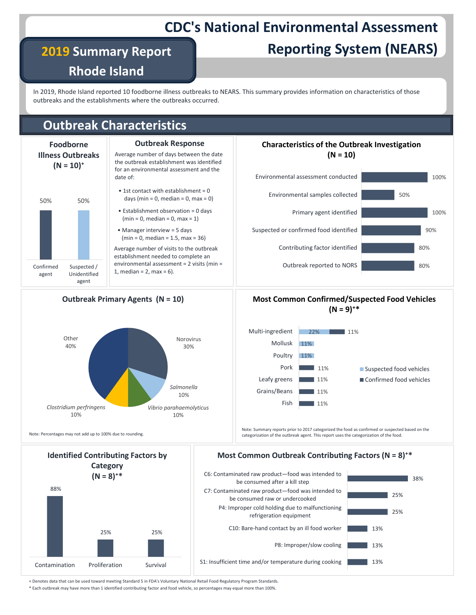# CDC's National Environmental Assessment Reporting System (NEARS)

2019 Summary Report

# Rhode Island

In 2019, Rhode Island reported 10 foodborne illness outbreaks to NEARS. This summary provides information on characteristics of those outbreaks and the establishments where the outbreaks occurred.

# Outbreak Characteristics



#### Foodborne | Outbreak Response

Average number of days between the date the outbreak establishment was identified  $(N = 10)^+$  The outbreak establishment was identified the state of the state of the state of the state of the state of the state of the state of the state of the state of the state of the state of the state of the state of date of:

- 1st contact with establishment = 0 days (min =  $0$ , median =  $0$ , max =  $0$ )
- Establishment observation = 0 days  $(min = 0, median = 0, max = 1)$
- Manager interview = 5 days  $(min = 0, median = 1.5, max = 36)$

Average number of visits to the outbreak establishment needed to complete an  $\text{Confirmed}$  Suspected / environmental assessment = 2 visits (min = || 1, median =  $2$ , max =  $6$ ).



#### Outbreak Response Characteristics of the Outbreak Investigation  $(N = 10)$



#### Most Common Confirmed/Suspected Food Vehicles  $(N = 9)^{**}$



categorization of the outbreak agent. This report uses the categorization of the food.

38%



Note: Percentages may not add up to 100% due to rounding.

#### Most Common Outbreak Contributing Factors ( $N = 8$ )<sup>+\*</sup>



\* Each outbreak may have more than 1 identified contributing factor and food vehicle, so percentages may equal more than 100%.